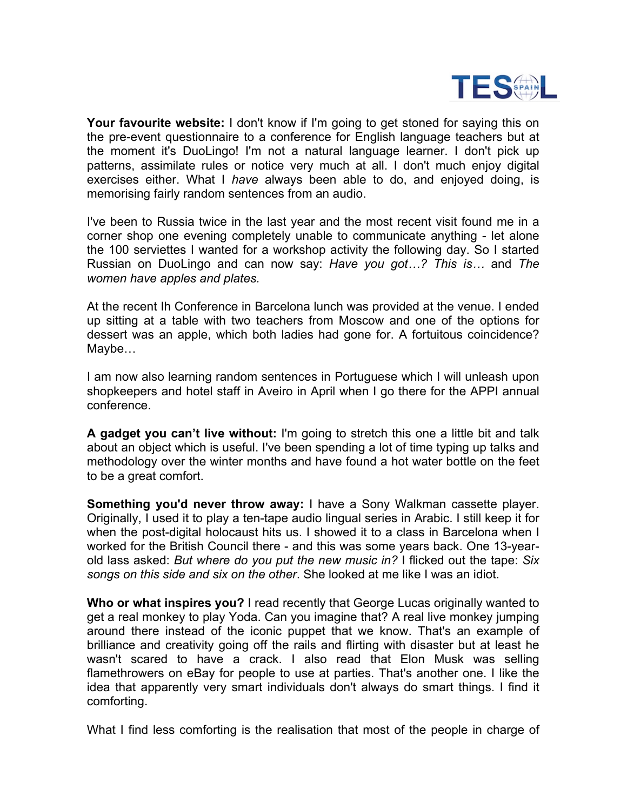

**Your favourite website:** I don't know if I'm going to get stoned for saying this on the pre-event questionnaire to a conference for English language teachers but at the moment it's DuoLingo! I'm not a natural language learner. I don't pick up patterns, assimilate rules or notice very much at all. I don't much enjoy digital exercises either. What I *have* always been able to do, and enjoyed doing, is memorising fairly random sentences from an audio.

I've been to Russia twice in the last year and the most recent visit found me in a corner shop one evening completely unable to communicate anything - let alone the 100 serviettes I wanted for a workshop activity the following day. So I started Russian on DuoLingo and can now say: *Have you got…? This is…* and *The women have apples and plates.*

At the recent Ih Conference in Barcelona lunch was provided at the venue. I ended up sitting at a table with two teachers from Moscow and one of the options for dessert was an apple, which both ladies had gone for. A fortuitous coincidence? Maybe…

I am now also learning random sentences in Portuguese which I will unleash upon shopkeepers and hotel staff in Aveiro in April when I go there for the APPI annual conference.

**A gadget you can't live without:** I'm going to stretch this one a little bit and talk about an object which is useful. I've been spending a lot of time typing up talks and methodology over the winter months and have found a hot water bottle on the feet to be a great comfort.

**Something you'd never throw away:** I have a Sony Walkman cassette player. Originally, I used it to play a ten-tape audio lingual series in Arabic. I still keep it for when the post-digital holocaust hits us. I showed it to a class in Barcelona when I worked for the British Council there - and this was some years back. One 13-yearold lass asked: *But where do you put the new music in?* I flicked out the tape: *Six songs on this side and six on the other*. She looked at me like I was an idiot.

**Who or what inspires you?** I read recently that George Lucas originally wanted to get a real monkey to play Yoda. Can you imagine that? A real live monkey jumping around there instead of the iconic puppet that we know. That's an example of brilliance and creativity going off the rails and flirting with disaster but at least he wasn't scared to have a crack. I also read that Elon Musk was selling flamethrowers on eBay for people to use at parties. That's another one. I like the idea that apparently very smart individuals don't always do smart things. I find it comforting.

What I find less comforting is the realisation that most of the people in charge of